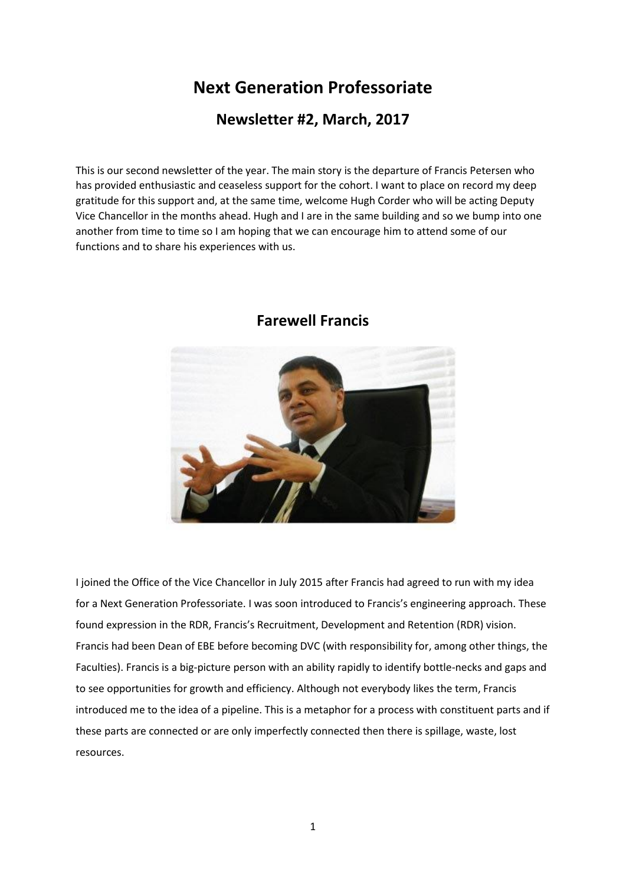# **Next Generation Professoriate**

# **Newsletter #2, March, 2017**

This is our second newsletter of the year. The main story is the departure of Francis Petersen who has provided enthusiastic and ceaseless support for the cohort. I want to place on record my deep gratitude for this support and, at the same time, welcome Hugh Corder who will be acting Deputy Vice Chancellor in the months ahead. Hugh and I are in the same building and so we bump into one another from time to time so I am hoping that we can encourage him to attend some of our functions and to share his experiences with us.



## **Farewell Francis**

I joined the Office of the Vice Chancellor in July 2015 after Francis had agreed to run with my idea for a Next Generation Professoriate. I was soon introduced to Francis's engineering approach. These found expression in the RDR, Francis's Recruitment, Development and Retention (RDR) vision. Francis had been Dean of EBE before becoming DVC (with responsibility for, among other things, the Faculties). Francis is a big-picture person with an ability rapidly to identify bottle-necks and gaps and to see opportunities for growth and efficiency. Although not everybody likes the term, Francis introduced me to the idea of a pipeline. This is a metaphor for a process with constituent parts and if these parts are connected or are only imperfectly connected then there is spillage, waste, lost resources.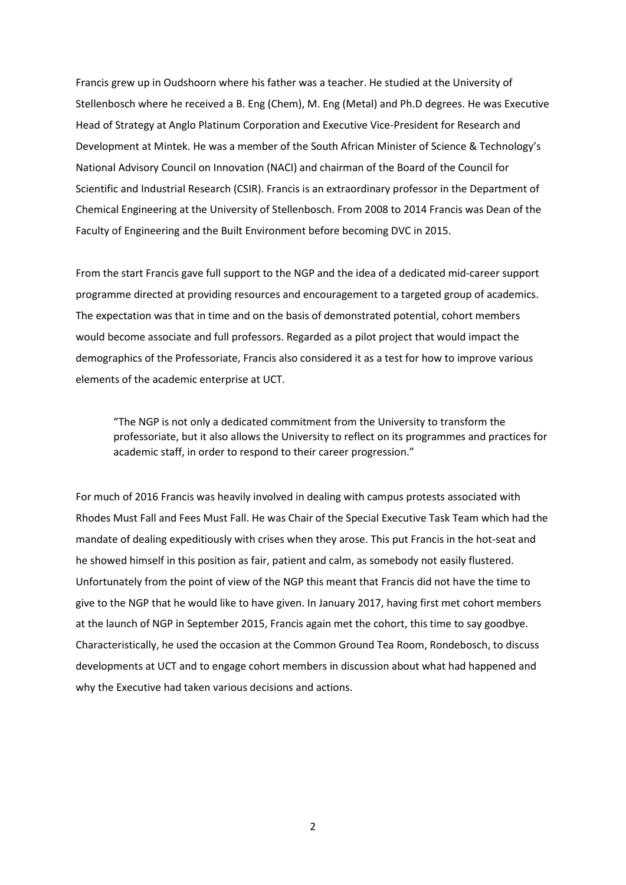Francis grew up in Oudshoorn where his father was a teacher. He studied at the University of Stellenbosch where he received a B. Eng (Chem), M. Eng (Metal) and Ph.D degrees. He was Executive Head of Strategy at Anglo Platinum Corporation and Executive Vice-President for Research and Development at Mintek. He was a member of the South African Minister of Science & Technology's National Advisory Council on Innovation (NACI) and chairman of the Board of the Council for Scientific and Industrial Research (CSIR). Francis is an extraordinary professor in the Department of Chemical Engineering at the University of Stellenbosch. From 2008 to 2014 Francis was Dean of the Faculty of Engineering and the Built Environment before becoming DVC in 2015.

From the start Francis gave full support to the NGP and the idea of a dedicated mid-career support programme directed at providing resources and encouragement to a targeted group of academics. The expectation was that in time and on the basis of demonstrated potential, cohort members would become associate and full professors. Regarded as a pilot project that would impact the demographics of the Professoriate, Francis also considered it as a test for how to improve various elements of the academic enterprise at UCT.

"The NGP is not only a dedicated commitment from the University to transform the professoriate, but it also allows the University to reflect on its programmes and practices for academic staff, in order to respond to their career progression."

For much of 2016 Francis was heavily involved in dealing with campus protests associated with Rhodes Must Fall and Fees Must Fall. He was Chair of the Special Executive Task Team which had the mandate of dealing expeditiously with crises when they arose. This put Francis in the hot-seat and he showed himself in this position as fair, patient and calm, as somebody not easily flustered. Unfortunately from the point of view of the NGP this meant that Francis did not have the time to give to the NGP that he would like to have given. In January 2017, having first met cohort members at the launch of NGP in September 2015, Francis again met the cohort, this time to say goodbye. Characteristically, he used the occasion at the Common Ground Tea Room, Rondebosch, to discuss developments at UCT and to engage cohort members in discussion about what had happened and why the Executive had taken various decisions and actions.

2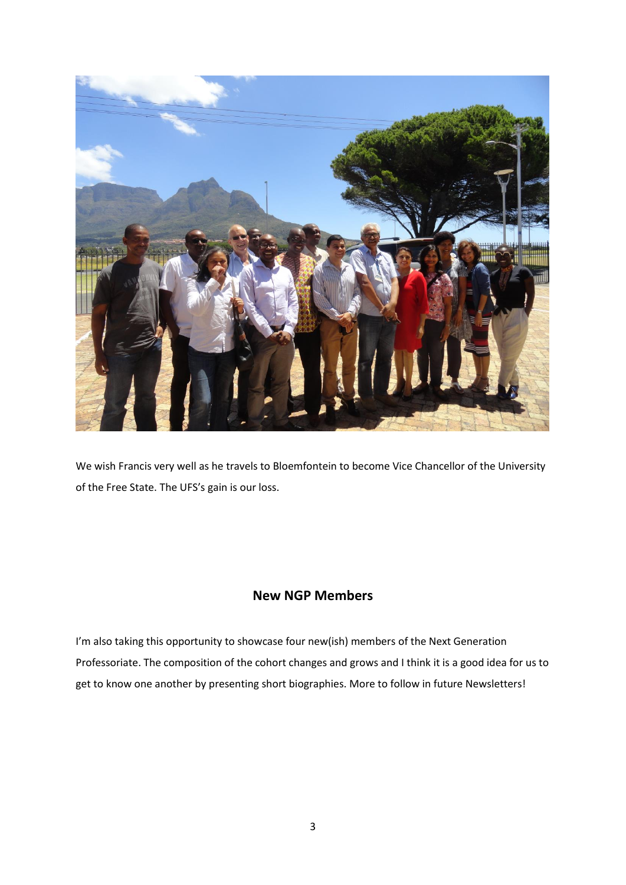

We wish Francis very well as he travels to Bloemfontein to become Vice Chancellor of the University of the Free State. The UFS's gain is our loss.

# **New NGP Members**

I'm also taking this opportunity to showcase four new(ish) members of the Next Generation Professoriate. The composition of the cohort changes and grows and I think it is a good idea for us to get to know one another by presenting short biographies. More to follow in future Newsletters!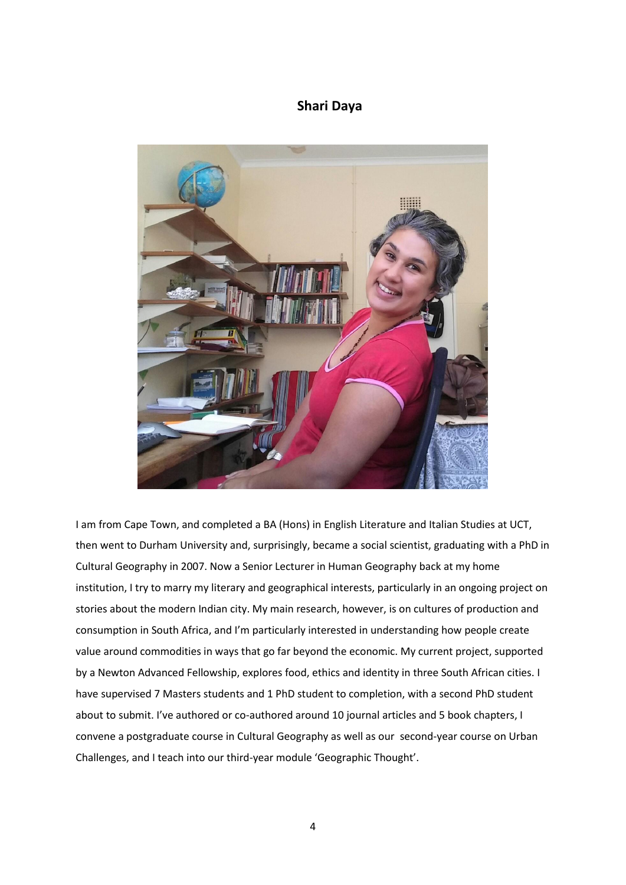#### **Shari Daya**



I am from Cape Town, and completed a BA (Hons) in English Literature and Italian Studies at UCT, then went to Durham University and, surprisingly, became a social scientist, graduating with a PhD in Cultural Geography in 2007. Now a Senior Lecturer in Human Geography back at my home institution, I try to marry my literary and geographical interests, particularly in an ongoing project on stories about the modern Indian city. My main research, however, is on cultures of production and consumption in South Africa, and I'm particularly interested in understanding how people create value around commodities in ways that go far beyond the economic. My current project, supported by a Newton Advanced Fellowship, explores food, ethics and identity in three South African cities. I have supervised 7 Masters students and 1 PhD student to completion, with a second PhD student about to submit. I've authored or co-authored around 10 journal articles and 5 book chapters, I convene a postgraduate course in Cultural Geography as well as our second-year course on Urban Challenges, and I teach into our third-year module 'Geographic Thought'.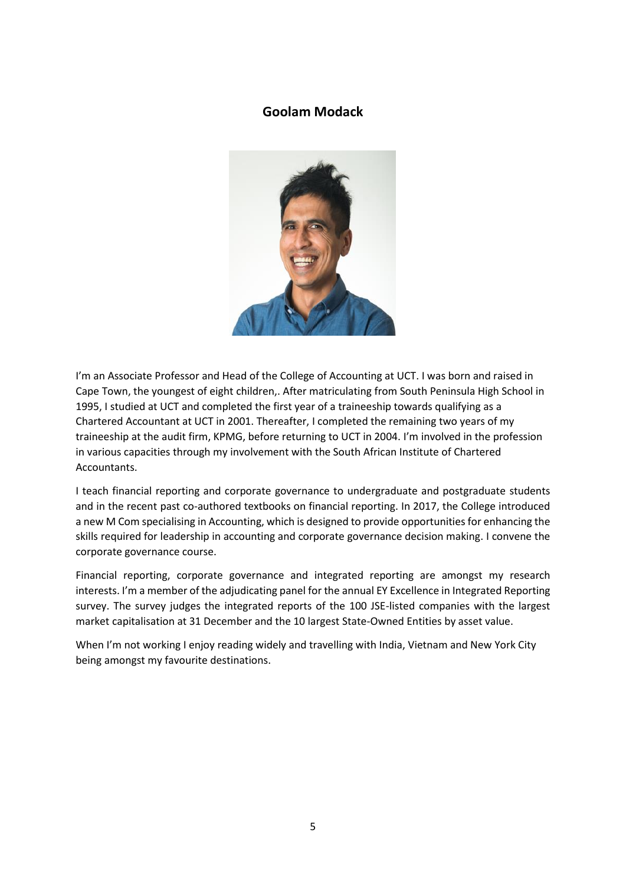## **Goolam Modack**



I'm an Associate Professor and Head of the College of Accounting at UCT. I was born and raised in Cape Town, the youngest of eight children,. After matriculating from South Peninsula High School in 1995, I studied at UCT and completed the first year of a traineeship towards qualifying as a Chartered Accountant at UCT in 2001. Thereafter, I completed the remaining two years of my traineeship at the audit firm, KPMG, before returning to UCT in 2004. I'm involved in the profession in various capacities through my involvement with the South African Institute of Chartered Accountants.

I teach financial reporting and corporate governance to undergraduate and postgraduate students and in the recent past co-authored textbooks on financial reporting. In 2017, the College introduced a new M Com specialising in Accounting, which is designed to provide opportunities for enhancing the skills required for leadership in accounting and corporate governance decision making. I convene the corporate governance course.

Financial reporting, corporate governance and integrated reporting are amongst my research interests. I'm a member of the adjudicating panel for the annual EY Excellence in Integrated Reporting survey. The survey judges the integrated reports of the 100 JSE-listed companies with the largest market capitalisation at 31 December and the 10 largest State-Owned Entities by asset value.

When I'm not working I enjoy reading widely and travelling with India, Vietnam and New York City being amongst my favourite destinations.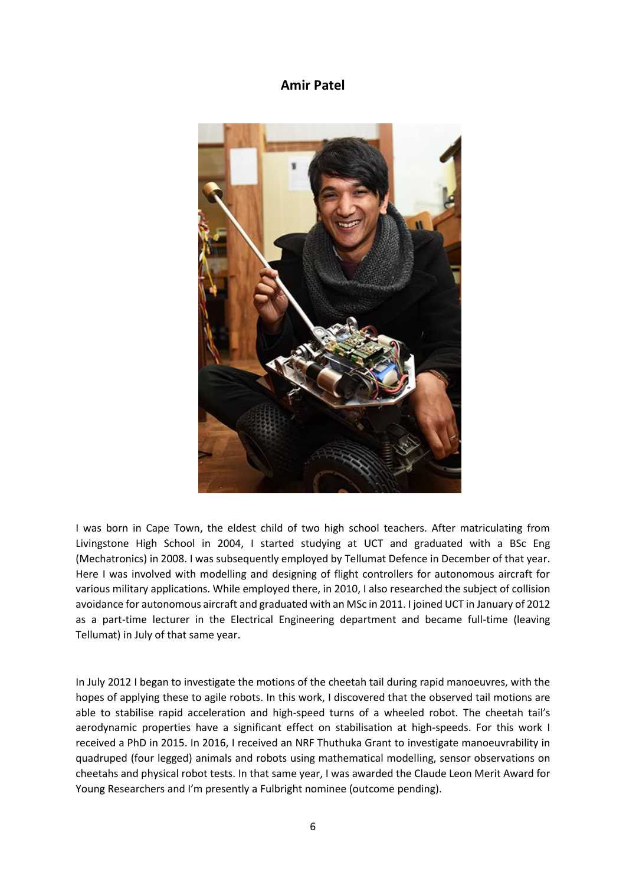## **Amir Patel**



I was born in Cape Town, the eldest child of two high school teachers. After matriculating from Livingstone High School in 2004, I started studying at UCT and graduated with a BSc Eng (Mechatronics) in 2008. I was subsequently employed by Tellumat Defence in December of that year. Here I was involved with modelling and designing of flight controllers for autonomous aircraft for various military applications. While employed there, in 2010, I also researched the subject of collision avoidance for autonomous aircraft and graduated with an MSc in 2011. I joined UCT in January of 2012 as a part-time lecturer in the Electrical Engineering department and became full-time (leaving Tellumat) in July of that same year.

In July 2012 I began to investigate the motions of the cheetah tail during rapid manoeuvres, with the hopes of applying these to agile robots. In this work, I discovered that the observed tail motions are able to stabilise rapid acceleration and high-speed turns of a wheeled robot. The cheetah tail's aerodynamic properties have a significant effect on stabilisation at high-speeds. For this work I received a PhD in 2015. In 2016, I received an NRF Thuthuka Grant to investigate manoeuvrability in quadruped (four legged) animals and robots using mathematical modelling, sensor observations on cheetahs and physical robot tests. In that same year, I was awarded the Claude Leon Merit Award for Young Researchers and I'm presently a Fulbright nominee (outcome pending).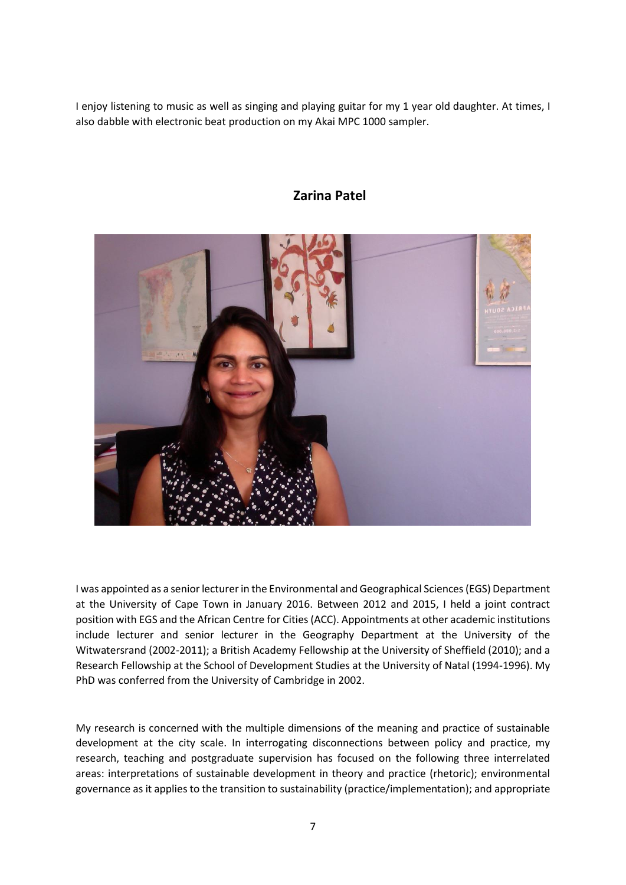I enjoy listening to music as well as singing and playing guitar for my 1 year old daughter. At times, I also dabble with electronic beat production on my Akai MPC 1000 sampler.

# **Zarina Patel**



I was appointed as a senior lecturer in the Environmental and Geographical Sciences (EGS) Department at the University of Cape Town in January 2016. Between 2012 and 2015, I held a joint contract position with EGS and the African Centre for Cities (ACC). Appointments at other academic institutions include lecturer and senior lecturer in the Geography Department at the University of the Witwatersrand (2002-2011); a British Academy Fellowship at the University of Sheffield (2010); and a Research Fellowship at the School of Development Studies at the University of Natal (1994-1996). My PhD was conferred from the University of Cambridge in 2002.

My research is concerned with the multiple dimensions of the meaning and practice of sustainable development at the city scale. In interrogating disconnections between policy and practice, my research, teaching and postgraduate supervision has focused on the following three interrelated areas: interpretations of sustainable development in theory and practice (rhetoric); environmental governance as it applies to the transition to sustainability (practice/implementation); and appropriate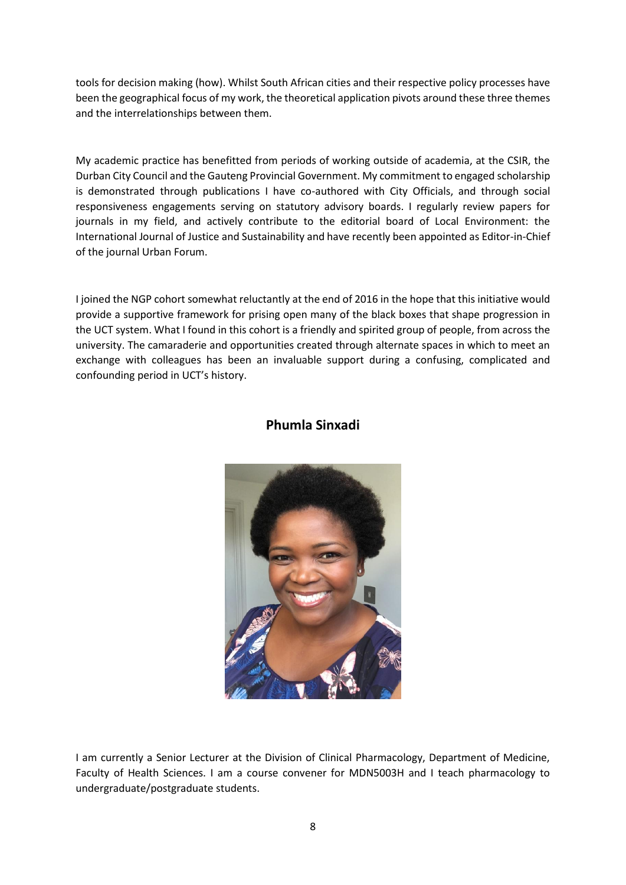tools for decision making (how). Whilst South African cities and their respective policy processes have been the geographical focus of my work, the theoretical application pivots around these three themes and the interrelationships between them.

My academic practice has benefitted from periods of working outside of academia, at the CSIR, the Durban City Council and the Gauteng Provincial Government. My commitment to engaged scholarship is demonstrated through publications I have co-authored with City Officials, and through social responsiveness engagements serving on statutory advisory boards. I regularly review papers for journals in my field, and actively contribute to the editorial board of Local Environment: the International Journal of Justice and Sustainability and have recently been appointed as Editor-in-Chief of the journal Urban Forum.

I joined the NGP cohort somewhat reluctantly at the end of 2016 in the hope that this initiative would provide a supportive framework for prising open many of the black boxes that shape progression in the UCT system. What I found in this cohort is a friendly and spirited group of people, from across the university. The camaraderie and opportunities created through alternate spaces in which to meet an exchange with colleagues has been an invaluable support during a confusing, complicated and confounding period in UCT's history.



### **Phumla Sinxadi**

I am currently a Senior Lecturer at the Division of Clinical Pharmacology, Department of Medicine, Faculty of Health Sciences. I am a course convener for MDN5003H and I teach pharmacology to undergraduate/postgraduate students.